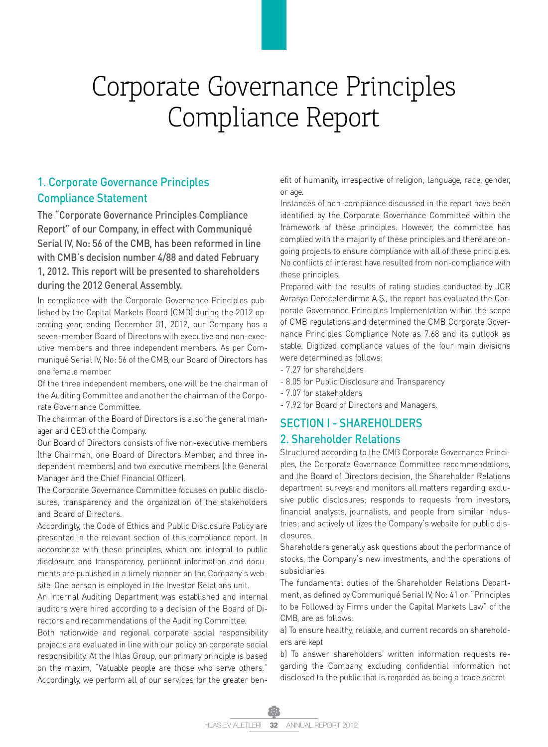## 1. Corporate Governance Principles Compliance Statement

The "Corporate Governance Principles Compliance Report" of our Company, in effect with Communiqué Serial IV, No: 56 of the CMB, has been reformed in line with CMB's decision number 4/88 and dated February 1, 2012. This report will be presented to shareholders during the 2012 General Assembly.

In compliance with the Corporate Governance Principles published by the Capital Markets Board (CMB) during the 2012 operating year, ending December 31, 2012, our Company has a seven-member Board of Directors with executive and non-executive members and three independent members. As per Communiqué Serial IV, No: 56 of the CMB, our Board of Directors has one female member.

Of the three independent members, one will be the chairman of the Auditing Committee and another the chairman of the Corporate Governance Committee.

The chairman of the Board of Directors is also the general manager and CEO of the Company.

Our Board of Directors consists of five non-executive members (the Chairman, one Board of Directors Member, and three independent members) and two executive members (the General Manager and the Chief Financial Officer).

The Corporate Governance Committee focuses on public disclosures, transparency and the organization of the stakeholders and Board of Directors.

Accordingly, the Code of Ethics and Public Disclosure Policy are presented in the relevant section of this compliance report. In accordance with these principles, which are integral to public disclosure and transparency, pertinent information and documents are published in a timely manner on the Company's website. One person is employed in the Investor Relations unit.

An Internal Auditing Department was established and internal auditors were hired according to a decision of the Board of Directors and recommendations of the Auditing Committee.

Both nationwide and regional corporate social responsibility projects are evaluated in line with our policy on corporate social responsibility. At the Ihlas Group, our primary principle is based on the maxim, "Valuable people are those who serve others." Accordingly, we perform all of our services for the greater benefit of humanity, irrespective of religion, language, race, gender, or age.

Instances of non-compliance discussed in the report have been identified by the Corporate Governance Committee within the framework of these principles. However, the committee has complied with the majority of these principles and there are ongoing projects to ensure compliance with all of these principles. No conflicts of interest have resulted from non-compliance with these principles.

Prepared with the results of rating studies conducted by JCR Avrasya Derecelendirme A.Ş., the report has evaluated the Corporate Governance Principles Implementation within the scope of CMB regulations and determined the CMB Corporate Governance Principles Compliance Note as 7.68 and its outlook as stable. Digitized compliance values of the four main divisions were determined as follows:

- 7.27 for shareholders
- 8.05 for Public Disclosure and Transparency
- 7.07 for stakeholders
- 7.92 for Board of Directors and Managers.

## SECTION I - SHAREHOLDERS 2. Shareholder Relations

Structured according to the CMB Corporate Governance Principles, the Corporate Governance Committee recommendations, and the Board of Directors decision, the Shareholder Relations department surveys and monitors all matters regarding exclusive public disclosures; responds to requests from investors, financial analysts, journalists, and people from similar industries; and actively utilizes the Company's website for public disclosures.

Shareholders generally ask questions about the performance of stocks, the Company's new investments, and the operations of subsidiaries.

The fundamental duties of the Shareholder Relations Department, as defined by Communiqué Serial IV, No: 41 on "Principles to be Followed by Firms under the Capital Markets Law" of the CMB, are as follows:

a) To ensure healthy, reliable, and current records on shareholders are kept

b) To answer shareholders' written information requests regarding the Company, excluding confidential information not disclosed to the public that is regarded as being a trade secret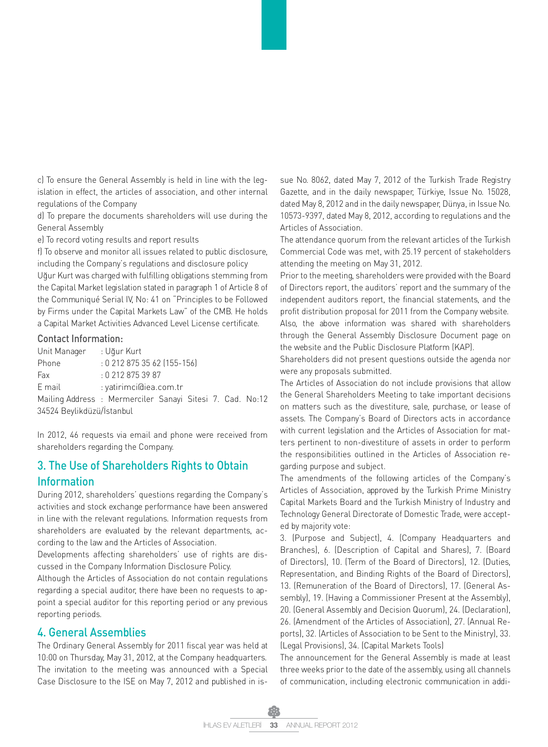c) To ensure the General Assembly is held in line with the legislation in effect, the articles of association, and other internal regulations of the Company

d) To prepare the documents shareholders will use during the General Assembly

e) To record voting results and report results

f) To observe and monitor all issues related to public disclosure, including the Company's regulations and disclosure policy

Uğur Kurt was charged with fulfilling obligations stemming from the Capital Market legislation stated in paragraph 1 of Article 8 of the Communiqué Serial IV, No: 41 on "Principles to be Followed by Firms under the Capital Markets Law" of the CMB. He holds a Capital Market Activities Advanced Level License certificate.

#### Contact Information:

| Unit Manager                                              | : Uğur Kurt              |  |  |  |  |  |
|-----------------------------------------------------------|--------------------------|--|--|--|--|--|
| Phone                                                     | $: 02128753562(155-156)$ |  |  |  |  |  |
| Fax                                                       | : 0 212 875 39 87        |  |  |  |  |  |
| E mail                                                    | : yatirimci@iea.com.tr   |  |  |  |  |  |
| Mailing Address : Mermerciler Sanayi Sitesi 7. Cad. No:12 |                          |  |  |  |  |  |
| 34524 Beylikdüzü/İstanbul                                 |                          |  |  |  |  |  |

In 2012, 46 requests via email and phone were received from shareholders regarding the Company.

## 3. The Use of Shareholders Rights to Obtain Information

During 2012, shareholders' questions regarding the Company's activities and stock exchange performance have been answered in line with the relevant regulations. Information requests from shareholders are evaluated by the relevant departments, according to the law and the Articles of Association.

Developments affecting shareholders' use of rights are discussed in the Company Information Disclosure Policy.

Although the Articles of Association do not contain regulations regarding a special auditor, there have been no requests to appoint a special auditor for this reporting period or any previous reporting periods.

### 4. General Assemblies

The Ordinary General Assembly for 2011 fiscal year was held at 10:00 on Thursday, May 31, 2012, at the Company headquarters. The invitation to the meeting was announced with a Special Case Disclosure to the ISE on May 7, 2012 and published in issue No. 8062, dated May 7, 2012 of the Turkish Trade Registry Gazette, and in the daily newspaper, Türkiye, Issue No. 15028, dated May 8, 2012 and in the daily newspaper, Dünya, in Issue No. 10573-9397, dated May 8, 2012, according to regulations and the Articles of Association.

The attendance quorum from the relevant articles of the Turkish Commercial Code was met, with 25.19 percent of stakeholders attending the meeting on May 31, 2012.

Prior to the meeting, shareholders were provided with the Board of Directors report, the auditors' report and the summary of the independent auditors report, the financial statements, and the profit distribution proposal for 2011 from the Company website. Also, the above information was shared with shareholders through the General Assembly Disclosure Document page on the website and the Public Disclosure Platform (KAP).

Shareholders did not present questions outside the agenda nor were any proposals submitted.

The Articles of Association do not include provisions that allow the General Shareholders Meeting to take important decisions on matters such as the divestiture, sale, purchase, or lease of assets. The Company's Board of Directors acts in accordance with current legislation and the Articles of Association for matters pertinent to non-divestiture of assets in order to perform the responsibilities outlined in the Articles of Association regarding purpose and subject.

The amendments of the following articles of the Company's Articles of Association, approved by the Turkish Prime Ministry Capital Markets Board and the Turkish Ministry of Industry and Technology General Directorate of Domestic Trade, were accepted by majority vote:

3. (Purpose and Subject), 4. (Company Headquarters and Branches), 6. (Description of Capital and Shares), 7. (Board of Directors), 10. (Term of the Board of Directors), 12. (Duties, Representation, and Binding Rights of the Board of Directors), 13. (Remuneration of the Board of Directors), 17. (General Assembly), 19. (Having a Commissioner Present at the Assembly), 20. (General Assembly and Decision Quorum), 24. (Declaration), 26. (Amendment of the Articles of Association), 27. (Annual Reports), 32. (Articles of Association to be Sent to the Ministry), 33. (Legal Provisions), 34. (Capital Markets Tools)

The announcement for the General Assembly is made at least three weeks prior to the date of the assembly, using all channels of communication, including electronic communication in addi-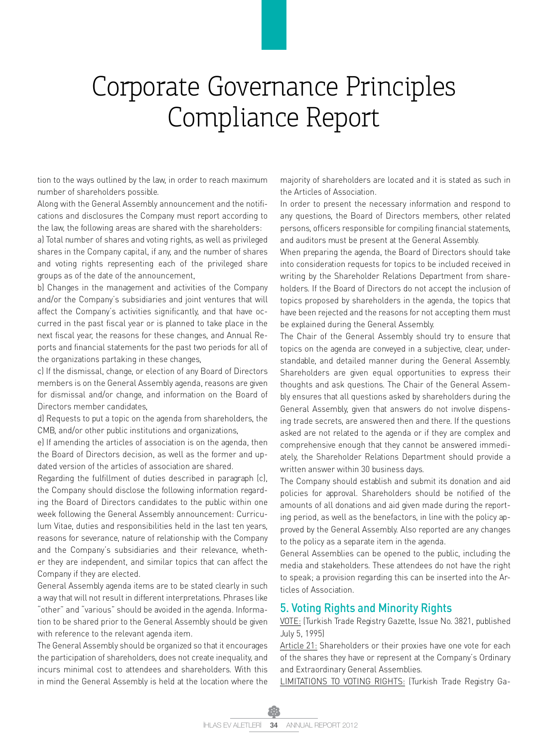tion to the ways outlined by the law, in order to reach maximum number of shareholders possible.

Along with the General Assembly announcement and the notifications and disclosures the Company must report according to the law, the following areas are shared with the shareholders:

a) Total number of shares and voting rights, as well as privileged shares in the Company capital, if any, and the number of shares and voting rights representing each of the privileged share groups as of the date of the announcement,

b) Changes in the management and activities of the Company and/or the Company's subsidiaries and joint ventures that will affect the Company's activities significantly, and that have occurred in the past fiscal year or is planned to take place in the next fiscal year, the reasons for these changes, and Annual Reports and financial statements for the past two periods for all of the organizations partaking in these changes,

c) If the dismissal, change, or election of any Board of Directors members is on the General Assembly agenda, reasons are given for dismissal and/or change, and information on the Board of Directors member candidates,

d) Requests to put a topic on the agenda from shareholders, the CMB, and/or other public institutions and organizations,

e) If amending the articles of association is on the agenda, then the Board of Directors decision, as well as the former and updated version of the articles of association are shared.

Regarding the fulfillment of duties described in paragraph (c), the Company should disclose the following information regarding the Board of Directors candidates to the public within one week following the General Assembly announcement: Curriculum Vitae, duties and responsibilities held in the last ten years, reasons for severance, nature of relationship with the Company and the Company's subsidiaries and their relevance, whether they are independent, and similar topics that can affect the Company if they are elected.

General Assembly agenda items are to be stated clearly in such a way that will not result in different interpretations. Phrases like "other" and "various" should be avoided in the agenda. Information to be shared prior to the General Assembly should be given with reference to the relevant agenda item.

The General Assembly should be organized so that it encourages the participation of shareholders, does not create inequality, and incurs minimal cost to attendees and shareholders. With this in mind the General Assembly is held at the location where the majority of shareholders are located and it is stated as such in the Articles of Association.

In order to present the necessary information and respond to any questions, the Board of Directors members, other related persons, officers responsible for compiling financial statements, and auditors must be present at the General Assembly.

When preparing the agenda, the Board of Directors should take into consideration requests for topics to be included received in writing by the Shareholder Relations Department from shareholders. If the Board of Directors do not accept the inclusion of topics proposed by shareholders in the agenda, the topics that have been rejected and the reasons for not accepting them must be explained during the General Assembly.

The Chair of the General Assembly should try to ensure that topics on the agenda are conveyed in a subjective, clear, understandable, and detailed manner during the General Assembly. Shareholders are given equal opportunities to express their thoughts and ask questions. The Chair of the General Assembly ensures that all questions asked by shareholders during the General Assembly, given that answers do not involve dispensing trade secrets, are answered then and there. If the questions asked are not related to the agenda or if they are complex and comprehensive enough that they cannot be answered immediately, the Shareholder Relations Department should provide a written answer within 30 business days.

The Company should establish and submit its donation and aid policies for approval. Shareholders should be notified of the amounts of all donations and aid given made during the reporting period, as well as the benefactors, in line with the policy approved by the General Assembly. Also reported are any changes to the policy as a separate item in the agenda.

General Assemblies can be opened to the public, including the media and stakeholders. These attendees do not have the right to speak; a provision regarding this can be inserted into the Articles of Association.

#### 5. Voting Rights and Minority Rights

VOTE: (Turkish Trade Registry Gazette, Issue No. 3821, published July 5, 1995)

Article 21: Shareholders or their proxies have one vote for each of the shares they have or represent at the Company's Ordinary and Extraordinary General Assemblies.

LIMITATIONS TO VOTING RIGHTS: (Turkish Trade Registry Ga-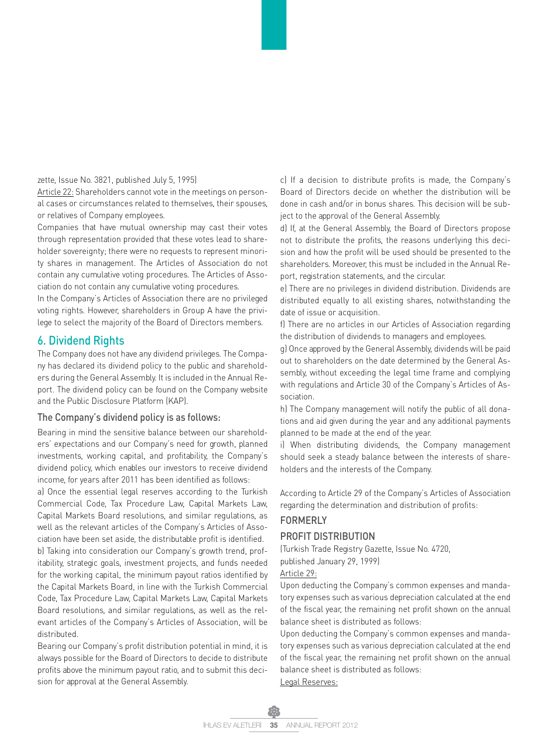zette, Issue No. 3821, published July 5, 1995)

Article 22: Shareholders cannot vote in the meetings on personal cases or circumstances related to themselves, their spouses, or relatives of Company employees.

Companies that have mutual ownership may cast their votes through representation provided that these votes lead to shareholder sovereignty; there were no requests to represent minority shares in management. The Articles of Association do not contain any cumulative voting procedures. The Articles of Association do not contain any cumulative voting procedures.

In the Company's Articles of Association there are no privileged voting rights. However, shareholders in Group A have the privilege to select the majority of the Board of Directors members.

### 6. Dividend Rights

The Company does not have any dividend privileges. The Company has declared its dividend policy to the public and shareholders during the General Assembly. It is included in the Annual Report. The dividend policy can be found on the Company website and the Public Disclosure Platform (KAP).

#### The Company's dividend policy is as follows:

Bearing in mind the sensitive balance between our shareholders' expectations and our Company's need for growth, planned investments, working capital, and profitability, the Company's dividend policy, which enables our investors to receive dividend income, for years after 2011 has been identified as follows:

a) Once the essential legal reserves according to the Turkish Commercial Code, Tax Procedure Law, Capital Markets Law, Capital Markets Board resolutions, and similar regulations, as well as the relevant articles of the Company's Articles of Asso-

ciation have been set aside, the distributable profit is identified. b) Taking into consideration our Company's growth trend, profitability, strategic goals, investment projects, and funds needed for the working capital, the minimum payout ratios identified by the Capital Markets Board, in line with the Turkish Commercial Code, Tax Procedure Law, Capital Markets Law, Capital Markets Board resolutions, and similar regulations, as well as the relevant articles of the Company's Articles of Association, will be distributed.

Bearing our Company's profit distribution potential in mind, it is always possible for the Board of Directors to decide to distribute profits above the minimum payout ratio, and to submit this decision for approval at the General Assembly.

c) If a decision to distribute profits is made, the Company's Board of Directors decide on whether the distribution will be done in cash and/or in bonus shares. This decision will be subject to the approval of the General Assembly.

d) If, at the General Assembly, the Board of Directors propose not to distribute the profits, the reasons underlying this decision and how the profit will be used should be presented to the shareholders. Moreover, this must be included in the Annual Report, registration statements, and the circular.

e) There are no privileges in dividend distribution. Dividends are distributed equally to all existing shares, notwithstanding the date of issue or acquisition.

f) There are no articles in our Articles of Association regarding the distribution of dividends to managers and employees.

g) Once approved by the General Assembly, dividends will be paid out to shareholders on the date determined by the General Assembly, without exceeding the legal time frame and complying with regulations and Article 30 of the Company's Articles of Association.

h) The Company management will notify the public of all donations and aid given during the year and any additional payments planned to be made at the end of the year.

i) When distributing dividends, the Company management should seek a steady balance between the interests of shareholders and the interests of the Company.

According to Article 29 of the Company's Articles of Association regarding the determination and distribution of profits:

#### FORMERLY

#### PROFIT DISTRIBUTION

(Turkish Trade Registry Gazette, Issue No. 4720,

published January 29, 1999)

Article 29:

Upon deducting the Company's common expenses and mandatory expenses such as various depreciation calculated at the end of the fiscal year, the remaining net profit shown on the annual balance sheet is distributed as follows:

Upon deducting the Company's common expenses and mandatory expenses such as various depreciation calculated at the end of the fiscal year, the remaining net profit shown on the annual balance sheet is distributed as follows: Legal Reserves: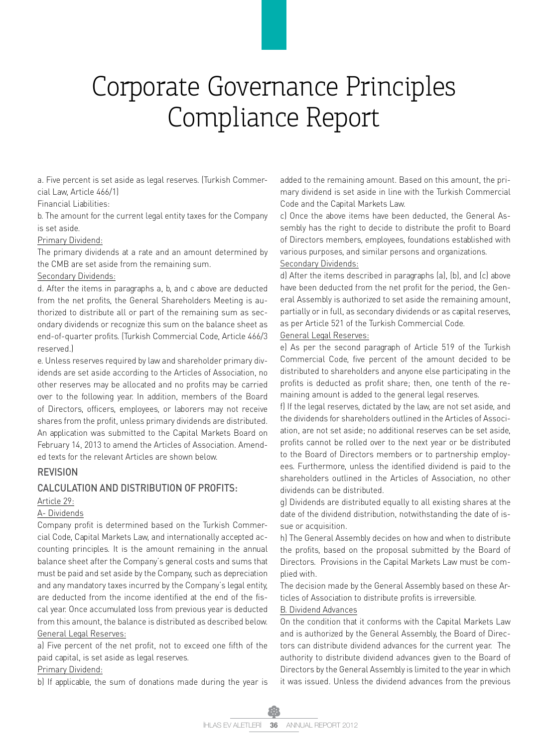a. Five percent is set aside as legal reserves. (Turkish Commercial Law, Article 466/1)

Financial Liabilities:

b. The amount for the current legal entity taxes for the Company is set aside.

#### Primary Dividend:

The primary dividends at a rate and an amount determined by the CMB are set aside from the remaining sum.

#### Secondary Dividends:

d. After the items in paragraphs a, b, and c above are deducted from the net profits, the General Shareholders Meeting is authorized to distribute all or part of the remaining sum as secondary dividends or recognize this sum on the balance sheet as end-of-quarter profits. (Turkish Commercial Code, Article 466/3 reserved.)

e. Unless reserves required by law and shareholder primary dividends are set aside according to the Articles of Association, no other reserves may be allocated and no profits may be carried over to the following year. In addition, members of the Board of Directors, officers, employees, or laborers may not receive shares from the profit, unless primary dividends are distributed. An application was submitted to the Capital Markets Board on February 14, 2013 to amend the Articles of Association. Amended texts for the relevant Articles are shown below.

#### **REVISION**

#### CALCULATION AND DISTRIBUTION OF PROFITS:

#### Article 29:

#### A- Dividends

Company profit is determined based on the Turkish Commercial Code, Capital Markets Law, and internationally accepted accounting principles. It is the amount remaining in the annual balance sheet after the Company's general costs and sums that must be paid and set aside by the Company, such as depreciation and any mandatory taxes incurred by the Company's legal entity, are deducted from the income identified at the end of the fiscal year. Once accumulated loss from previous year is deducted from this amount, the balance is distributed as described below. General Legal Reserves:

a) Five percent of the net profit, not to exceed one fifth of the paid capital, is set aside as legal reserves.

#### Primary Dividend:

b) If applicable, the sum of donations made during the year is

added to the remaining amount. Based on this amount, the primary dividend is set aside in line with the Turkish Commercial Code and the Capital Markets Law.

c) Once the above items have been deducted, the General Assembly has the right to decide to distribute the profit to Board of Directors members, employees, foundations established with various purposes, and similar persons and organizations.

#### Secondary Dividends:

d) After the items described in paragraphs (a), (b), and (c) above have been deducted from the net profit for the period, the General Assembly is authorized to set aside the remaining amount, partially or in full, as secondary dividends or as capital reserves, as per Article 521 of the Turkish Commercial Code.

#### General Legal Reserves:

e) As per the second paragraph of Article 519 of the Turkish Commercial Code, five percent of the amount decided to be distributed to shareholders and anyone else participating in the profits is deducted as profit share; then, one tenth of the remaining amount is added to the general legal reserves.

f) If the legal reserves, dictated by the law, are not set aside, and the dividends for shareholders outlined in the Articles of Association, are not set aside; no additional reserves can be set aside, profits cannot be rolled over to the next year or be distributed to the Board of Directors members or to partnership employees. Furthermore, unless the identified dividend is paid to the shareholders outlined in the Articles of Association, no other dividends can be distributed.

g) Dividends are distributed equally to all existing shares at the date of the dividend distribution, notwithstanding the date of issue or acquisition.

h) The General Assembly decides on how and when to distribute the profits, based on the proposal submitted by the Board of Directors. Provisions in the Capital Markets Law must be complied with.

The decision made by the General Assembly based on these Articles of Association to distribute profits is irreversible.

#### B. Dividend Advances

On the condition that it conforms with the Capital Markets Law and is authorized by the General Assembly, the Board of Directors can distribute dividend advances for the current year. The authority to distribute dividend advances given to the Board of Directors by the General Assembly is limited to the year in which it was issued. Unless the dividend advances from the previous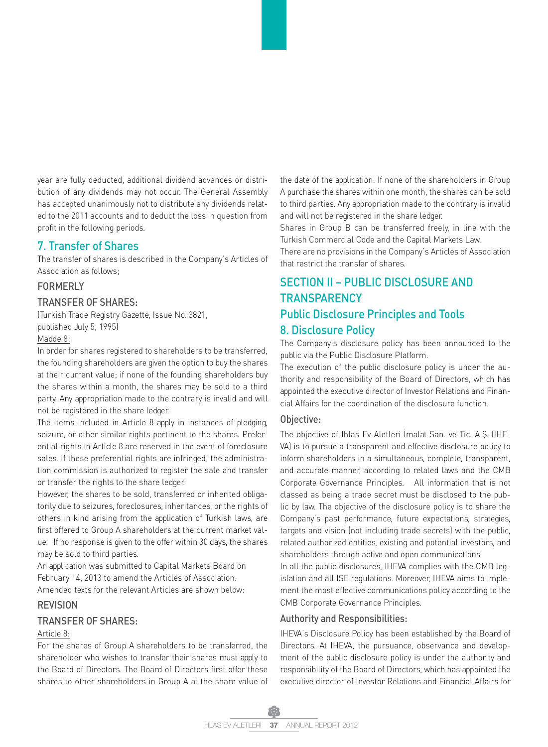year are fully deducted, additional dividend advances or distribution of any dividends may not occur. The General Assembly has accepted unanimously not to distribute any dividends related to the 2011 accounts and to deduct the loss in question from profit in the following periods.

#### 7. Transfer of Shares

The transfer of shares is described in the Company's Articles of Association as follows;

#### FORMERLY

#### TRANSFER OF SHARES:

(Turkish Trade Registry Gazette, Issue No. 3821, published July 5, 1995)

#### Madde 8:

In order for shares registered to shareholders to be transferred, the founding shareholders are given the option to buy the shares at their current value; if none of the founding shareholders buy the shares within a month, the shares may be sold to a third party. Any appropriation made to the contrary is invalid and will not be registered in the share ledger.

The items included in Article 8 apply in instances of pledging, seizure, or other similar rights pertinent to the shares. Preferential rights in Article 8 are reserved in the event of foreclosure sales. If these preferential rights are infringed, the administration commission is authorized to register the sale and transfer or transfer the rights to the share ledger.

However, the shares to be sold, transferred or inherited obligatorily due to seizures, foreclosures, inheritances, or the rights of others in kind arising from the application of Turkish laws, are first offered to Group A shareholders at the current market value. If no response is given to the offer within 30 days, the shares may be sold to third parties.

An application was submitted to Capital Markets Board on February 14, 2013 to amend the Articles of Association.

Amended texts for the relevant Articles are shown below:

### **REVISION**

#### TRANSFER OF SHARES:

#### Article 8:

For the shares of Group A shareholders to be transferred, the shareholder who wishes to transfer their shares must apply to the Board of Directors. The Board of Directors first offer these shares to other shareholders in Group A at the share value of the date of the application. If none of the shareholders in Group A purchase the shares within one month, the shares can be sold to third parties. Any appropriation made to the contrary is invalid and will not be registered in the share ledger.

Shares in Group B can be transferred freely, in line with the Turkish Commercial Code and the Capital Markets Law.

There are no provisions in the Company's Articles of Association that restrict the transfer of shares.

## SECTION II – PUBLIC DISCLOSURE AND **TRANSPARENCY** Public Disclosure Principles and Tools

### 8. Disclosure Policy

The Company's disclosure policy has been announced to the public via the Public Disclosure Platform.

The execution of the public disclosure policy is under the authority and responsibility of the Board of Directors, which has appointed the executive director of Investor Relations and Financial Affairs for the coordination of the disclosure function.

#### Objective:

The objective of Ihlas Ev Aletleri İmalat San. ve Tic. A.Ş. (IHE-VA) is to pursue a transparent and effective disclosure policy to inform shareholders in a simultaneous, complete, transparent, and accurate manner, according to related laws and the CMB Corporate Governance Principles. All information that is not classed as being a trade secret must be disclosed to the public by law. The objective of the disclosure policy is to share the Company's past performance, future expectations, strategies, targets and vision (not including trade secrets) with the public, related authorized entities, existing and potential investors, and shareholders through active and open communications.

In all the public disclosures, IHEVA complies with the CMB legislation and all ISE regulations. Moreover, IHEVA aims to implement the most effective communications policy according to the CMB Corporate Governance Principles.

#### Authority and Responsibilities:

IHEVA's Disclosure Policy has been established by the Board of Directors. At IHEVA, the pursuance, observance and development of the public disclosure policy is under the authority and responsibility of the Board of Directors, which has appointed the executive director of Investor Relations and Financial Affairs for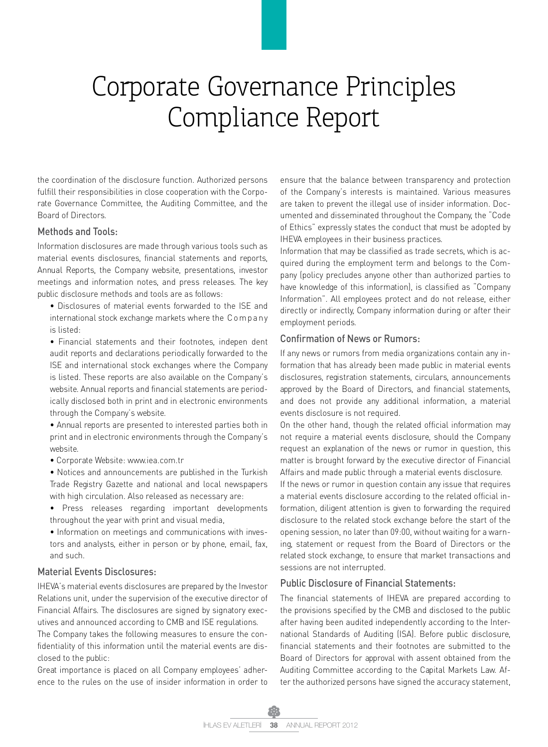the coordination of the disclosure function. Authorized persons fulfill their responsibilities in close cooperation with the Corporate Governance Committee, the Auditing Committee, and the Board of Directors.

#### Methods and Tools:

Information disclosures are made through various tools such as material events disclosures, financial statements and reports, Annual Reports, the Company website, presentations, investor meetings and information notes, and press releases. The key public disclosure methods and tools are as follows:

- Disclosures of material events forwarded to the ISE and international stock exchange markets where the C o m p a ny is listed:
- Financial statements and their footnotes, indepen dent audit reports and declarations periodically forwarded to the ISE and international stock exchanges where the Company is listed. These reports are also available on the Company's website. Annual reports and financial statements are periodically disclosed both in print and in electronic environments through the Company's website.

• Annual reports are presented to interested parties both in print and in electronic environments through the Company's website.

- Corporate Website: www.iea.com.tr
- Notices and announcements are published in the Turkish Trade Registry Gazette and national and local newspapers with high circulation. Also released as necessary are:
- Press releases regarding important developments throughout the year with print and visual media,
- Information on meetings and communications with investors and analysts, either in person or by phone, email, fax, and such.

#### Material Events Disclosures:

IHEVA's material events disclosures are prepared by the Investor Relations unit, under the supervision of the executive director of Financial Affairs. The disclosures are signed by signatory executives and announced according to CMB and ISE regulations.

The Company takes the following measures to ensure the confidentiality of this information until the material events are disclosed to the public:

Great importance is placed on all Company employees' adherence to the rules on the use of insider information in order to ensure that the balance between transparency and protection of the Company's interests is maintained. Various measures are taken to prevent the illegal use of insider information. Documented and disseminated throughout the Company, the "Code of Ethics" expressly states the conduct that must be adopted by IHEVA employees in their business practices.

Information that may be classified as trade secrets, which is acquired during the employment term and belongs to the Company (policy precludes anyone other than authorized parties to have knowledge of this information), is classified as "Company Information". All employees protect and do not release, either directly or indirectly, Company information during or after their employment periods.

#### Confirmation of News or Rumors:

If any news or rumors from media organizations contain any information that has already been made public in material events disclosures, registration statements, circulars, announcements approved by the Board of Directors, and financial statements, and does not provide any additional information, a material events disclosure is not required.

On the other hand, though the related official information may not require a material events disclosure, should the Company request an explanation of the news or rumor in question, this matter is brought forward by the executive director of Financial Affairs and made public through a material events disclosure.

If the news or rumor in question contain any issue that requires a material events disclosure according to the related official information, diligent attention is given to forwarding the required disclosure to the related stock exchange before the start of the opening session, no later than 09:00, without waiting for a warning, statement or request from the Board of Directors or the related stock exchange, to ensure that market transactions and sessions are not interrupted.

#### Public Disclosure of Financial Statements:

The financial statements of IHEVA are prepared according to the provisions specified by the CMB and disclosed to the public after having been audited independently according to the International Standards of Auditing (ISA). Before public disclosure, financial statements and their footnotes are submitted to the Board of Directors for approval with assent obtained from the Auditing Committee according to the Capital Markets Law. After the authorized persons have signed the accuracy statement,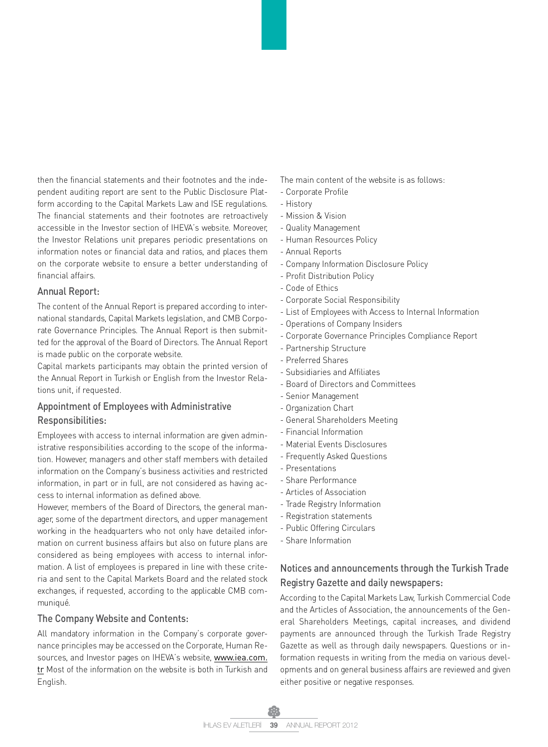then the financial statements and their footnotes and the independent auditing report are sent to the Public Disclosure Platform according to the Capital Markets Law and ISE regulations. The financial statements and their footnotes are retroactively accessible in the Investor section of IHEVA's website. Moreover, the Investor Relations unit prepares periodic presentations on information notes or financial data and ratios, and places them on the corporate website to ensure a better understanding of financial affairs.

#### Annual Report:

The content of the Annual Report is prepared according to international standards, Capital Markets legislation, and CMB Corporate Governance Principles. The Annual Report is then submitted for the approval of the Board of Directors. The Annual Report is made public on the corporate website.

Capital markets participants may obtain the printed version of the Annual Report in Turkish or English from the Investor Relations unit, if requested.

### Appointment of Employees with Administrative Responsibilities:

Employees with access to internal information are given administrative responsibilities according to the scope of the information. However, managers and other staff members with detailed information on the Company's business activities and restricted information, in part or in full, are not considered as having access to internal information as defined above.

However, members of the Board of Directors, the general manager, some of the department directors, and upper management working in the headquarters who not only have detailed information on current business affairs but also on future plans are considered as being employees with access to internal information. A list of employees is prepared in line with these criteria and sent to the Capital Markets Board and the related stock exchanges, if requested, according to the applicable CMB communiqué.

#### The Company Website and Contents:

All mandatory information in the Company's corporate governance principles may be accessed on the Corporate, Human Resources, and Investor pages on IHEVA's website, www.iea.com. tr Most of the information on the website is both in Turkish and English.

The main content of the website is as follows:

- Corporate Profile
- History
- Mission & Vision
- Quality Management
- Human Resources Policy
- Annual Reports
- Company Information Disclosure Policy
- Profit Distribution Policy
- Code of Ethics
- Corporate Social Responsibility
- List of Employees with Access to Internal Information
- Operations of Company Insiders
- Corporate Governance Principles Compliance Report
- Partnership Structure
- Preferred Shares
- Subsidiaries and Affiliates
- Board of Directors and Committees
- Senior Management
- Organization Chart
- General Shareholders Meeting
- Financial Information
- Material Events Disclosures
- Frequently Asked Questions
- Presentations
- Share Performance
- Articles of Association
- Trade Registry Information
- Registration statements
- Public Offering Circulars
- Share Information

## Notices and announcements through the Turkish Trade Registry Gazette and daily newspapers:

According to the Capital Markets Law, Turkish Commercial Code and the Articles of Association, the announcements of the General Shareholders Meetings, capital increases, and dividend payments are announced through the Turkish Trade Registry Gazette as well as through daily newspapers. Questions or information requests in writing from the media on various developments and on general business affairs are reviewed and given either positive or negative responses.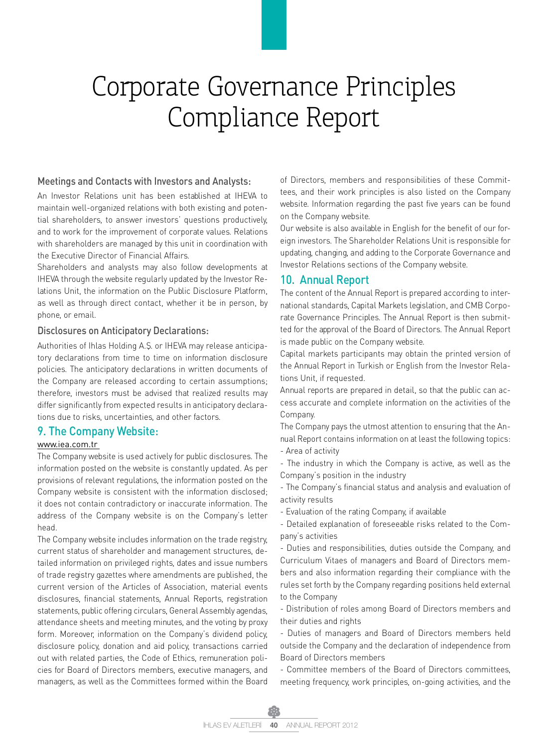#### Meetings and Contacts with Investors and Analysts:

An Investor Relations unit has been established at IHEVA to maintain well-organized relations with both existing and potential shareholders, to answer investors' questions productively, and to work for the improvement of corporate values. Relations with shareholders are managed by this unit in coordination with the Executive Director of Financial Affairs.

Shareholders and analysts may also follow developments at IHEVA through the website regularly updated by the Investor Relations Unit, the information on the Public Disclosure Platform, as well as through direct contact, whether it be in person, by phone, or email.

#### Disclosures on Anticipatory Declarations:

Authorities of Ihlas Holding A.Ş. or IHEVA may release anticipatory declarations from time to time on information disclosure policies. The anticipatory declarations in written documents of the Company are released according to certain assumptions; therefore, investors must be advised that realized results may differ significantly from expected results in anticipatory declarations due to risks, uncertainties, and other factors.

#### 9. The Company Website:

#### www.iea.com.tr

The Company website is used actively for public disclosures. The information posted on the website is constantly updated. As per provisions of relevant regulations, the information posted on the Company website is consistent with the information disclosed; it does not contain contradictory or inaccurate information. The address of the Company website is on the Company's letter head.

The Company website includes information on the trade registry, current status of shareholder and management structures, detailed information on privileged rights, dates and issue numbers of trade registry gazettes where amendments are published, the current version of the Articles of Association, material events disclosures, financial statements, Annual Reports, registration statements, public offering circulars, General Assembly agendas, attendance sheets and meeting minutes, and the voting by proxy form. Moreover, information on the Company's dividend policy, disclosure policy, donation and aid policy, transactions carried out with related parties, the Code of Ethics, remuneration policies for Board of Directors members, executive managers, and managers, as well as the Committees formed within the Board of Directors, members and responsibilities of these Committees, and their work principles is also listed on the Company website. Information regarding the past five years can be found on the Company website.

Our website is also available in English for the benefit of our foreign investors. The Shareholder Relations Unit is responsible for updating, changing, and adding to the Corporate Governance and Investor Relations sections of the Company website.

#### 10. Annual Report

The content of the Annual Report is prepared according to international standards, Capital Markets legislation, and CMB Corporate Governance Principles. The Annual Report is then submitted for the approval of the Board of Directors. The Annual Report is made public on the Company website.

Capital markets participants may obtain the printed version of the Annual Report in Turkish or English from the Investor Relations Unit, if requested.

Annual reports are prepared in detail, so that the public can access accurate and complete information on the activities of the Company.

The Company pays the utmost attention to ensuring that the Annual Report contains information on at least the following topics: - Area of activity

- The industry in which the Company is active, as well as the Company's position in the industry

- The Company's financial status and analysis and evaluation of activity results

- Evaluation of the rating Company, if available

- Detailed explanation of foreseeable risks related to the Company's activities

- Duties and responsibilities, duties outside the Company, and Curriculum Vitaes of managers and Board of Directors members and also information regarding their compliance with the rules set forth by the Company regarding positions held external to the Company

- Distribution of roles among Board of Directors members and their duties and rights

- Duties of managers and Board of Directors members held outside the Company and the declaration of independence from Board of Directors members

- Committee members of the Board of Directors committees, meeting frequency, work principles, on-going activities, and the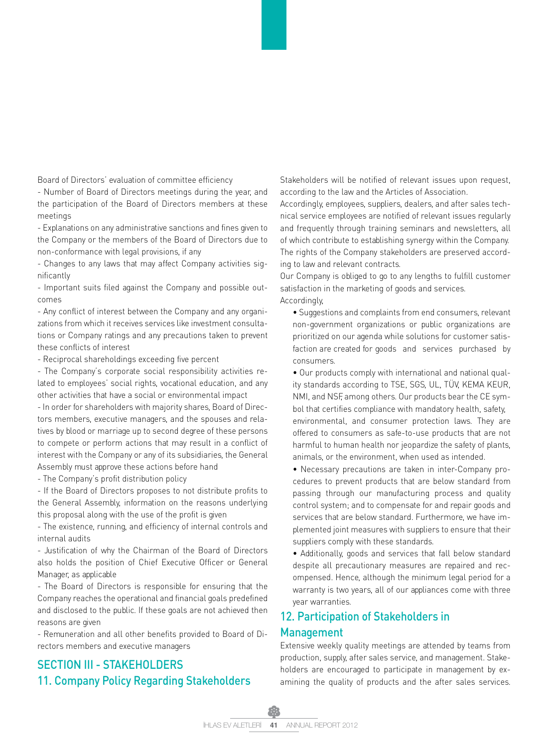Board of Directors' evaluation of committee efficiency

- Number of Board of Directors meetings during the year, and the participation of the Board of Directors members at these meetings

- Explanations on any administrative sanctions and fines given to the Company or the members of the Board of Directors due to non-conformance with legal provisions, if any

- Changes to any laws that may affect Company activities significantly

- Important suits filed against the Company and possible outcomes

- Any conflict of interest between the Company and any organizations from which it receives services like investment consultations or Company ratings and any precautions taken to prevent these conflicts of interest

- Reciprocal shareholdings exceeding five percent

- The Company's corporate social responsibility activities related to employees' social rights, vocational education, and any other activities that have a social or environmental impact

- In order for shareholders with majority shares, Board of Directors members, executive managers, and the spouses and relatives by blood or marriage up to second degree of these persons to compete or perform actions that may result in a conflict of interest with the Company or any of its subsidiaries, the General Assembly must approve these actions before hand

- The Company's profit distribution policy

- If the Board of Directors proposes to not distribute profits to the General Assembly, information on the reasons underlying this proposal along with the use of the profit is given

- The existence, running, and efficiency of internal controls and internal audits

- Justification of why the Chairman of the Board of Directors also holds the position of Chief Executive Officer or General Manager, as applicable

- The Board of Directors is responsible for ensuring that the Company reaches the operational and financial goals predefined and disclosed to the public. If these goals are not achieved then reasons are given

- Remuneration and all other benefits provided to Board of Directors members and executive managers

## SECTION III - STAKEHOLDERS 11. Company Policy Regarding Stakeholders

Stakeholders will be notified of relevant issues upon request, according to the law and the Articles of Association.

Accordingly, employees, suppliers, dealers, and after sales technical service employees are notified of relevant issues regularly and frequently through training seminars and newsletters, all of which contribute to establishing synergy within the Company. The rights of the Company stakeholders are preserved according to law and relevant contracts.

Our Company is obliged to go to any lengths to fulfill customer satisfaction in the marketing of goods and services. Accordingly,

• Suggestions and complaints from end consumers, relevant non-government organizations or public organizations are prioritized on our agenda while solutions for customer satisfaction are created for goods and services purchased by consumers.

• Our products comply with international and national quality standards according to TSE, SGS, UL, TÜV, KEMA KEUR, NMI, and NSF, among others. Our products bear the CE symbol that certifies compliance with mandatory health, safety, environmental, and consumer protection laws. They are offered to consumers as safe-to-use products that are not harmful to human health nor jeopardize the safety of plants, animals, or the environment, when used as intended.

• Necessary precautions are taken in inter-Company procedures to prevent products that are below standard from passing through our manufacturing process and quality control system; and to compensate for and repair goods and services that are below standard. Furthermore, we have implemented joint measures with suppliers to ensure that their suppliers comply with these standards.

• Additionally, goods and services that fall below standard despite all precautionary measures are repaired and recompensed. Hence, although the minimum legal period for a warranty is two years, all of our appliances come with three year warranties.

## 12. Participation of Stakeholders in Management

Extensive weekly quality meetings are attended by teams from production, supply, after sales service, and management. Stakeholders are encouraged to participate in management by examining the quality of products and the after sales services.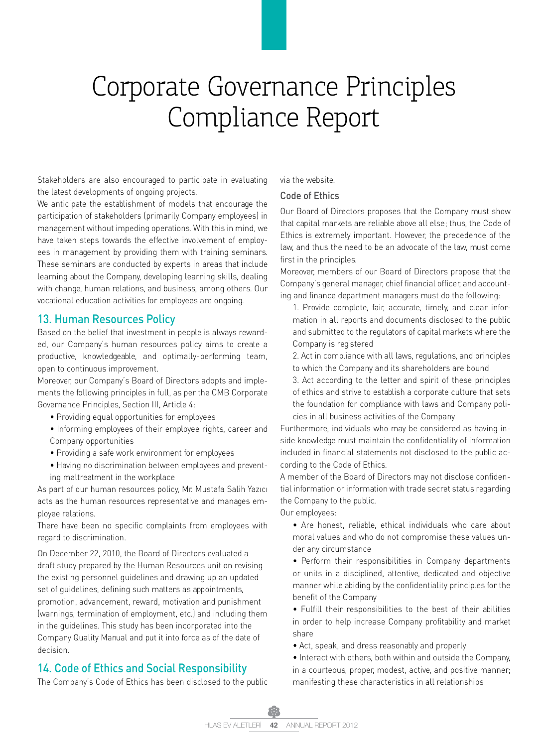Stakeholders are also encouraged to participate in evaluating the latest developments of ongoing projects.

We anticipate the establishment of models that encourage the participation of stakeholders (primarily Company employees) in management without impeding operations. With this in mind, we have taken steps towards the effective involvement of employees in management by providing them with training seminars. These seminars are conducted by experts in areas that include learning about the Company, developing learning skills, dealing with change, human relations, and business, among others. Our vocational education activities for employees are ongoing.

## 13. Human Resources Policy

Based on the belief that investment in people is always rewarded, our Company's human resources policy aims to create a productive, knowledgeable, and optimally-performing team, open to continuous improvement.

Moreover, our Company's Board of Directors adopts and implements the following principles in full, as per the CMB Corporate Governance Principles, Section III, Article 4:

- Providing equal opportunities for employees
- Informing employees of their employee rights, career and Company opportunities
- Providing a safe work environment for employees
- Having no discrimination between employees and preventing maltreatment in the workplace

As part of our human resources policy, Mr. Mustafa Salih Yazıcı acts as the human resources representative and manages employee relations.

There have been no specific complaints from employees with regard to discrimination.

On December 22, 2010, the Board of Directors evaluated a draft study prepared by the Human Resources unit on revising the existing personnel guidelines and drawing up an updated set of guidelines, defining such matters as appointments, promotion, advancement, reward, motivation and punishment (warnings, termination of employment, etc.) and including them in the guidelines. This study has been incorporated into the Company Quality Manual and put it into force as of the date of decision.

## 14. Code of Ethics and Social Responsibility

The Company's Code of Ethics has been disclosed to the public

via the website.

#### Code of Ethics

Our Board of Directors proposes that the Company must show that capital markets are reliable above all else; thus, the Code of Ethics is extremely important. However, the precedence of the law, and thus the need to be an advocate of the law, must come first in the principles.

Moreover, members of our Board of Directors propose that the Company's general manager, chief financial officer, and accounting and finance department managers must do the following:

- 1. Provide complete, fair, accurate, timely, and clear information in all reports and documents disclosed to the public and submitted to the regulators of capital markets where the Company is registered
- 2. Act in compliance with all laws, regulations, and principles to which the Company and its shareholders are bound
- 3. Act according to the letter and spirit of these principles of ethics and strive to establish a corporate culture that sets the foundation for compliance with laws and Company policies in all business activities of the Company

Furthermore, individuals who may be considered as having inside knowledge must maintain the confidentiality of information included in financial statements not disclosed to the public according to the Code of Ethics.

A member of the Board of Directors may not disclose confidential information or information with trade secret status regarding the Company to the public.

Our employees:

- Are honest, reliable, ethical individuals who care about moral values and who do not compromise these values under any circumstance
- Perform their responsibilities in Company departments or units in a disciplined, attentive, dedicated and objective manner while abiding by the confidentiality principles for the benefit of the Company
- Fulfill their responsibilities to the best of their abilities in order to help increase Company profitability and market share
- Act, speak, and dress reasonably and properly
- Interact with others, both within and outside the Company, in a courteous, proper, modest, active, and positive manner; manifesting these characteristics in all relationships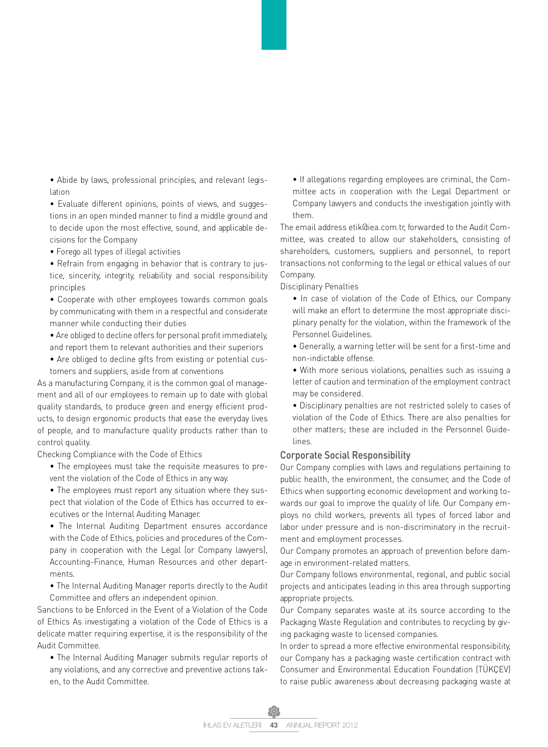• Abide by laws, professional principles, and relevant legislation

• Evaluate different opinions, points of views, and suggestions in an open minded manner to find a middle ground and to decide upon the most effective, sound, and applicable decisions for the Company

• Forego all types of illegal activities

• Refrain from engaging in behavior that is contrary to justice, sincerity, integrity, reliability and social responsibility principles

• Cooperate with other employees towards common goals by communicating with them in a respectful and considerate manner while conducting their duties

• Are obliged to decline offers for personal profit immediately, and report them to relevant authorities and their superiors

• Are obliged to decline gifts from existing or potential customers and suppliers, aside from at conventions

As a manufacturing Company, it is the common goal of management and all of our employees to remain up to date with global quality standards, to produce green and energy efficient products, to design ergonomic products that ease the everyday lives of people, and to manufacture quality products rather than to control quality.

Checking Compliance with the Code of Ethics

• The employees must take the requisite measures to prevent the violation of the Code of Ethics in any way.

• The employees must report any situation where they suspect that violation of the Code of Ethics has occurred to executives or the Internal Auditing Manager.

• The Internal Auditing Department ensures accordance with the Code of Ethics, policies and procedures of the Company in cooperation with the Legal (or Company lawyers), Accounting-Finance, Human Resources and other departments.

• The Internal Auditing Manager reports directly to the Audit Committee and offers an independent opinion.

Sanctions to be Enforced in the Event of a Violation of the Code of Ethics As investigating a violation of the Code of Ethics is a delicate matter requiring expertise, it is the responsibility of the Audit Committee.

• The Internal Auditing Manager submits regular reports of any violations, and any corrective and preventive actions taken, to the Audit Committee.

• If allegations regarding employees are criminal, the Committee acts in cooperation with the Legal Department or Company lawyers and conducts the investigation jointly with them.

The email address etik@iea.com.tr, forwarded to the Audit Committee, was created to allow our stakeholders, consisting of shareholders, customers, suppliers and personnel, to report transactions not conforming to the legal or ethical values of our Company.

Disciplinary Penalties

• In case of violation of the Code of Ethics, our Company will make an effort to determine the most appropriate disciplinary penalty for the violation, within the framework of the Personnel Guidelines.

• Generally, a warning letter will be sent for a first-time and non-indictable offense.

• With more serious violations, penalties such as issuing a letter of caution and termination of the employment contract may be considered.

• Disciplinary penalties are not restricted solely to cases of violation of the Code of Ethics. There are also penalties for other matters; these are included in the Personnel Guidelines.

#### Corporate Social Responsibility

Our Company complies with laws and regulations pertaining to public health, the environment, the consumer, and the Code of Ethics when supporting economic development and working towards our goal to improve the quality of life. Our Company employs no child workers, prevents all types of forced labor and labor under pressure and is non-discriminatory in the recruitment and employment processes.

Our Company promotes an approach of prevention before damage in environment-related matters.

Our Company follows environmental, regional, and public social projects and anticipates leading in this area through supporting appropriate projects.

Our Company separates waste at its source according to the Packaging Waste Regulation and contributes to recycling by giving packaging waste to licensed companies.

In order to spread a more effective environmental responsibility, our Company has a packaging waste certification contract with Consumer and Environmental Education Foundation (TÜKÇEV) to raise public awareness about decreasing packaging waste at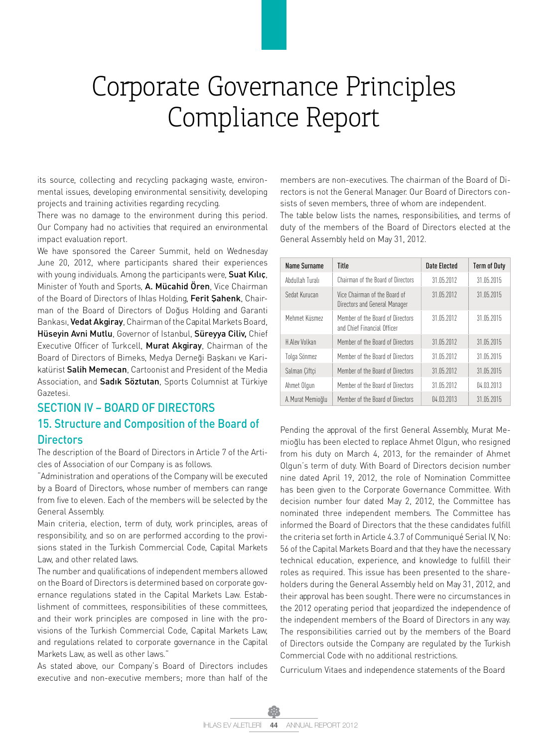its source, collecting and recycling packaging waste, environmental issues, developing environmental sensitivity, developing projects and training activities regarding recycling.

There was no damage to the environment during this period. Our Company had no activities that required an environmental impact evaluation report.

We have sponsored the Career Summit, held on Wednesday June 20, 2012, where participants shared their experiences with young individuals. Among the participants were, Suat Kilic, Minister of Youth and Sports, A. Mücahid Ören, Vice Chairman of the Board of Directors of Ihlas Holding, Ferit Şahenk, Chairman of the Board of Directors of Doğuş Holding and Garanti Bankası, Vedat Akgiray, Chairman of the Capital Markets Board, Hüseyin Avni Mutlu, Governor of Istanbul, Süreyya Ciliv, Chief Executive Officer of Turkcell, Murat Akgiray, Chairman of the Board of Directors of Bimeks, Medya Derneği Başkanı ve Karikatürist Salih Memecan, Cartoonist and President of the Media Association, and Sadık Söztutan, Sports Columnist at Türkiye Gazetesi.

## SECTION IV – BOARD OF DIRECTORS 15. Structure and Composition of the Board of **Directors**

The description of the Board of Directors in Article 7 of the Articles of Association of our Company is as follows.

"Administration and operations of the Company will be executed by a Board of Directors, whose number of members can range from five to eleven. Each of the members will be selected by the General Assembly.

Main criteria, election, term of duty, work principles, areas of responsibility, and so on are performed according to the provisions stated in the Turkish Commercial Code, Capital Markets Law, and other related laws.

The number and qualifications of independent members allowed on the Board of Directors is determined based on corporate governance regulations stated in the Capital Markets Law. Establishment of committees, responsibilities of these committees, and their work principles are composed in line with the provisions of the Turkish Commercial Code, Capital Markets Law, and regulations related to corporate governance in the Capital Markets Law, as well as other laws."

As stated above, our Company's Board of Directors includes executive and non-executive members; more than half of the members are non-executives. The chairman of the Board of Directors is not the General Manager. Our Board of Directors consists of seven members, three of whom are independent.

The table below lists the names, responsibilities, and terms of duty of the members of the Board of Directors elected at the General Assembly held on May 31, 2012.

| Name Surname      | Title                                                           | Date Flected | <b>Term of Duty</b> |
|-------------------|-----------------------------------------------------------------|--------------|---------------------|
| Abdullah Turalı   | Chairman of the Board of Directors                              | 31.05.2012   | 31 05 2015          |
| Sedat Kurucan     | Vice Chairman of the Board of<br>Directors and General Manager  | 31.05.2012   | 31.05.2015          |
| Mehmet Küsmez     | Member of the Board of Directors<br>and Chief Financial Officer | 31.05.2012   | 31.05.2015          |
| H Aley Volkan     | Member of the Board of Directors                                | 31.05.2012   | 31.05.2015          |
| Tolga Sönmez      | Member of the Board of Directors                                | 31 05 2012   | 31 05 2015          |
| Salman Ciftci     | Member of the Board of Directors                                | 31.05.2012   | 31.05.2015          |
| Ahmet Olgun       | Member of the Board of Directors                                | 31.05.2012   | 04.03.2013          |
| A. Murat Memioğlu | Member of the Board of Directors                                | 04.03.2013   | 31.05.2015          |

Pending the approval of the first General Assembly, Murat Memioğlu has been elected to replace Ahmet Olgun, who resigned from his duty on March 4, 2013, for the remainder of Ahmet Olgun's term of duty. With Board of Directors decision number nine dated April 19, 2012, the role of Nomination Committee has been given to the Corporate Governance Committee. With decision number four dated May 2, 2012, the Committee has nominated three independent members. The Committee has informed the Board of Directors that the these candidates fulfill the criteria set forth in Article 4.3.7 of Communiqué Serial IV, No: 56 of the Capital Markets Board and that they have the necessary technical education, experience, and knowledge to fulfill their roles as required. This issue has been presented to the shareholders during the General Assembly held on May 31, 2012, and their approval has been sought. There were no circumstances in the 2012 operating period that jeopardized the independence of the independent members of the Board of Directors in any way. The responsibilities carried out by the members of the Board of Directors outside the Company are regulated by the Turkish Commercial Code with no additional restrictions.

Curriculum Vitaes and independence statements of the Board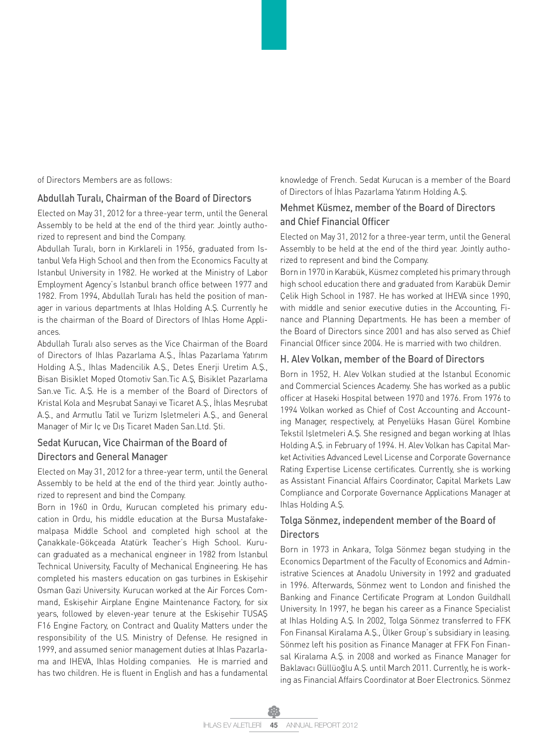of Directors Members are as follows:

#### Abdullah Turalı, Chairman of the Board of Directors

Elected on May 31, 2012 for a three-year term, until the General Assembly to be held at the end of the third year. Jointly authorized to represent and bind the Company.

Abdullah Turalı, born in Kırklareli in 1956, graduated from Istanbul Vefa High School and then from the Economics Faculty at Istanbul University in 1982. He worked at the Ministry of Labor Employment Agency's Istanbul branch office between 1977 and 1982. From 1994, Abdullah Turalı has held the position of manager in various departments at Ihlas Holding A.Ş. Currently he is the chairman of the Board of Directors of Ihlas Home Appliances.

Abdullah Turalı also serves as the Vice Chairman of the Board of Directors of Ihlas Pazarlama A.Ş., İhlas Pazarlama Yatırım Holding A.Ş., Ihlas Madencilik A.Ş., Detes Enerji Uretim A.Ş., Bisan Bisiklet Moped Otomotiv San.Tic A.Ş, Bisiklet Pazarlama San.ve Tic. A.Ş. He is a member of the Board of Directors of Kristal Kola and Meşrubat Sanayi ve Ticaret A.Ş., İhlas Meşrubat A.Ş., and Armutlu Tatil ve Turizm Işletmeleri A.Ş., and General Manager of Mir Iç ve Dış Ticaret Maden San.Ltd. Şti.

## Sedat Kurucan, Vice Chairman of the Board of Directors and General Manager

Elected on May 31, 2012 for a three-year term, until the General Assembly to be held at the end of the third year. Jointly authorized to represent and bind the Company.

Born in 1960 in Ordu, Kurucan completed his primary education in Ordu, his middle education at the Bursa Mustafakemalpaşa Middle School and completed high school at the Çanakkale-Gökçeada Atatürk Teacher's High School. Kurucan graduated as a mechanical engineer in 1982 from Istanbul Technical University, Faculty of Mechanical Engineering. He has completed his masters education on gas turbines in Eskişehir Osman Gazi University. Kurucan worked at the Air Forces Command, Eskişehir Airplane Engine Maintenance Factory, for six years, followed by eleven-year tenure at the Eskişehir TUSAŞ F16 Engine Factory, on Contract and Quality Matters under the responsibility of the U.S. Ministry of Defense. He resigned in 1999, and assumed senior management duties at Ihlas Pazarlama and IHEVA, Ihlas Holding companies. He is married and has two children. He is fluent in English and has a fundamental knowledge of French. Sedat Kurucan is a member of the Board of Directors of İhlas Pazarlama Yatırım Holding A.Ş.

#### Mehmet Küsmez, member of the Board of Directors and Chief Financial Officer

Elected on May 31, 2012 for a three-year term, until the General Assembly to be held at the end of the third year. Jointly authorized to represent and bind the Company.

Born in 1970 in Karabük, Küsmez completed his primary through high school education there and graduated from Karabük Demir Çelik High School in 1987. He has worked at IHEVA since 1990, with middle and senior executive duties in the Accounting, Finance and Planning Departments. He has been a member of the Board of Directors since 2001 and has also served as Chief Financial Officer since 2004. He is married with two children.

#### H. Alev Volkan, member of the Board of Directors

Born in 1952, H. Alev Volkan studied at the Istanbul Economic and Commercial Sciences Academy. She has worked as a public officer at Haseki Hospital between 1970 and 1976. From 1976 to 1994 Volkan worked as Chief of Cost Accounting and Accounting Manager, respectively, at Penyelüks Hasan Gürel Kombine Tekstil Işletmeleri A.Ş. She resigned and began working at Ihlas Holding A.Ş. in February of 1994. H. Alev Volkan has Capital Market Activities Advanced Level License and Corporate Governance Rating Expertise License certificates. Currently, she is working as Assistant Financial Affairs Coordinator, Capital Markets Law Compliance and Corporate Governance Applications Manager at Ihlas Holding A.Ş.

### Tolga Sönmez, independent member of the Board of **Directors**

Born in 1973 in Ankara, Tolga Sönmez began studying in the Economics Department of the Faculty of Economics and Administrative Sciences at Anadolu University in 1992 and graduated in 1996. Afterwards, Sönmez went to London and finished the Banking and Finance Certificate Program at London Guildhall University. In 1997, he began his career as a Finance Specialist at Ihlas Holding A.Ş. In 2002, Tolga Sönmez transferred to FFK Fon Finansal Kiralama A.Ş., Ülker Group's subsidiary in leasing. Sönmez left his position as Finance Manager at FFK Fon Finansal Kiralama A.Ş. in 2008 and worked as Finance Manager for Baklavacı Güllüoğlu A.Ş. until March 2011. Currently, he is working as Financial Affairs Coordinator at Boer Electronics. Sönmez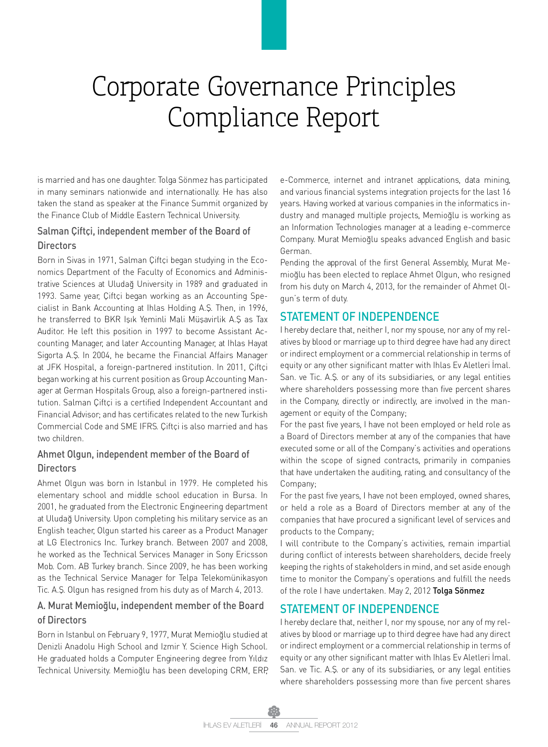is married and has one daughter. Tolga Sönmez has participated in many seminars nationwide and internationally. He has also taken the stand as speaker at the Finance Summit organized by the Finance Club of Middle Eastern Technical University.

### Salman Çiftçi, independent member of the Board of **Directors**

Born in Sivas in 1971, Salman Çiftçi began studying in the Economics Department of the Faculty of Economics and Administrative Sciences at Uludağ University in 1989 and graduated in 1993. Same year, Çiftçi began working as an Accounting Specialist in Bank Accounting at Ihlas Holding A.Ş. Then, in 1996, he transferred to BKR Işık Yeminli Mali Müşavirlik A.Ş as Tax Auditor. He left this position in 1997 to become Assistant Accounting Manager, and later Accounting Manager, at Ihlas Hayat Sigorta A.Ş. In 2004, he became the Financial Affairs Manager at JFK Hospital, a foreign-partnered institution. In 2011, Çiftçi began working at his current position as Group Accounting Manager at German Hospitals Group, also a foreign-partnered institution. Salman Çiftçi is a certified Independent Accountant and Financial Advisor; and has certificates related to the new Turkish Commercial Code and SME IFRS. Ciftci is also married and has two children.

## Ahmet Olgun, independent member of the Board of **Directors**

Ahmet Olgun was born in Istanbul in 1979. He completed his elementary school and middle school education in Bursa. In 2001, he graduated from the Electronic Engineering department at Uludağ University. Upon completing his military service as an English teacher, Olgun started his career as a Product Manager at LG Electronics Inc. Turkey branch. Between 2007 and 2008, he worked as the Technical Services Manager in Sony Ericsson Mob. Com. AB Turkey branch. Since 2009, he has been working as the Technical Service Manager for Telpa Telekomünikasyon Tic. A.Ş. Olgun has resigned from his duty as of March 4, 2013.

## A. Murat Memioğlu, independent member of the Board of Directors

Born in Istanbul on February 9, 1977, Murat Memioğlu studied at Denizli Anadolu High School and Izmir Y. Science High School. He graduated holds a Computer Engineering degree from Yıldız Technical University. Memioğlu has been developing CRM, ERP, e-Commerce, internet and intranet applications, data mining, and various financial systems integration projects for the last 16 years. Having worked at various companies in the informatics industry and managed multiple projects, Memioğlu is working as an Information Technologies manager at a leading e-commerce Company. Murat Memioğlu speaks advanced English and basic German.

Pending the approval of the first General Assembly, Murat Memioğlu has been elected to replace Ahmet Olgun, who resigned from his duty on March 4, 2013, for the remainder of Ahmet Olgun's term of duty.

## STATEMENT OF INDEPENDENCE

I hereby declare that, neither I, nor my spouse, nor any of my relatives by blood or marriage up to third degree have had any direct or indirect employment or a commercial relationship in terms of equity or any other significant matter with Ihlas Ev Aletleri İmal. San. ve Tic. A.Ş. or any of its subsidiaries, or any legal entities where shareholders possessing more than five percent shares in the Company, directly or indirectly, are involved in the management or equity of the Company;

For the past five years, I have not been employed or held role as a Board of Directors member at any of the companies that have executed some or all of the Company's activities and operations within the scope of signed contracts, primarily in companies that have undertaken the auditing, rating, and consultancy of the Company;

For the past five years, I have not been employed, owned shares, or held a role as a Board of Directors member at any of the companies that have procured a significant level of services and products to the Company;

I will contribute to the Company's activities, remain impartial during conflict of interests between shareholders, decide freely keeping the rights of stakeholders in mind, and set aside enough time to monitor the Company's operations and fulfill the needs of the role I have undertaken. May 2, 2012 Tolga Sönmez

## STATEMENT OF INDEPENDENCE

I hereby declare that, neither I, nor my spouse, nor any of my relatives by blood or marriage up to third degree have had any direct or indirect employment or a commercial relationship in terms of equity or any other significant matter with Ihlas Ev Aletleri İmal. San. ve Tic. A.Ş. or any of its subsidiaries, or any legal entities where shareholders possessing more than five percent shares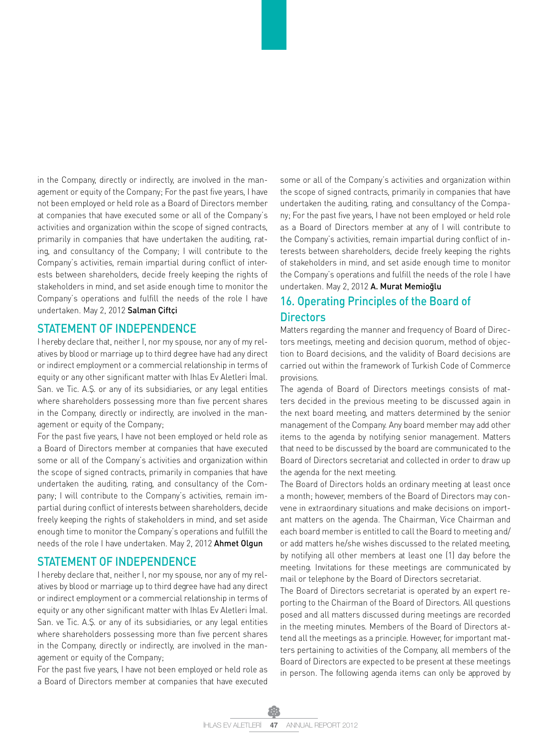in the Company, directly or indirectly, are involved in the management or equity of the Company; For the past five years, I have not been employed or held role as a Board of Directors member at companies that have executed some or all of the Company's activities and organization within the scope of signed contracts, primarily in companies that have undertaken the auditing, rating, and consultancy of the Company; I will contribute to the Company's activities, remain impartial during conflict of interests between shareholders, decide freely keeping the rights of stakeholders in mind, and set aside enough time to monitor the Company's operations and fulfill the needs of the role I have undertaken. May 2, 2012 Salman Çiftçi

#### STATEMENT OF INDEPENDENCE

I hereby declare that, neither I, nor my spouse, nor any of my relatives by blood or marriage up to third degree have had any direct or indirect employment or a commercial relationship in terms of equity or any other significant matter with Ihlas Ev Aletleri İmal. San. ve Tic. A.Ş. or any of its subsidiaries, or any legal entities where shareholders possessing more than five percent shares in the Company, directly or indirectly, are involved in the management or equity of the Company;

For the past five years, I have not been employed or held role as a Board of Directors member at companies that have executed some or all of the Company's activities and organization within the scope of signed contracts, primarily in companies that have undertaken the auditing, rating, and consultancy of the Company; I will contribute to the Company's activities, remain impartial during conflict of interests between shareholders, decide freely keeping the rights of stakeholders in mind, and set aside enough time to monitor the Company's operations and fulfill the needs of the role I have undertaken. May 2, 2012 Ahmet Olgun

### STATEMENT OF INDEPENDENCE

I hereby declare that, neither I, nor my spouse, nor any of my relatives by blood or marriage up to third degree have had any direct or indirect employment or a commercial relationship in terms of equity or any other significant matter with Ihlas Ev Aletleri İmal. San. ve Tic. A.Ş. or any of its subsidiaries, or any legal entities where shareholders possessing more than five percent shares in the Company, directly or indirectly, are involved in the management or equity of the Company;

For the past five years, I have not been employed or held role as a Board of Directors member at companies that have executed some or all of the Company's activities and organization within the scope of signed contracts, primarily in companies that have undertaken the auditing, rating, and consultancy of the Company; For the past five years, I have not been employed or held role as a Board of Directors member at any of I will contribute to the Company's activities, remain impartial during conflict of interests between shareholders, decide freely keeping the rights of stakeholders in mind, and set aside enough time to monitor the Company's operations and fulfill the needs of the role I have undertaken. May 2, 2012 A. Murat Memioğlu

## 16. Operating Principles of the Board of **Directors**

Matters regarding the manner and frequency of Board of Directors meetings, meeting and decision quorum, method of objection to Board decisions, and the validity of Board decisions are carried out within the framework of Turkish Code of Commerce provisions.

The agenda of Board of Directors meetings consists of matters decided in the previous meeting to be discussed again in the next board meeting, and matters determined by the senior management of the Company. Any board member may add other items to the agenda by notifying senior management. Matters that need to be discussed by the board are communicated to the Board of Directors secretariat and collected in order to draw up the agenda for the next meeting.

The Board of Directors holds an ordinary meeting at least once a month; however, members of the Board of Directors may convene in extraordinary situations and make decisions on important matters on the agenda. The Chairman, Vice Chairman and each board member is entitled to call the Board to meeting and/ or add matters he/she wishes discussed to the related meeting, by notifying all other members at least one (1) day before the meeting. Invitations for these meetings are communicated by mail or telephone by the Board of Directors secretariat.

The Board of Directors secretariat is operated by an expert reporting to the Chairman of the Board of Directors. All questions posed and all matters discussed during meetings are recorded in the meeting minutes. Members of the Board of Directors attend all the meetings as a principle. However, for important matters pertaining to activities of the Company, all members of the Board of Directors are expected to be present at these meetings in person. The following agenda items can only be approved by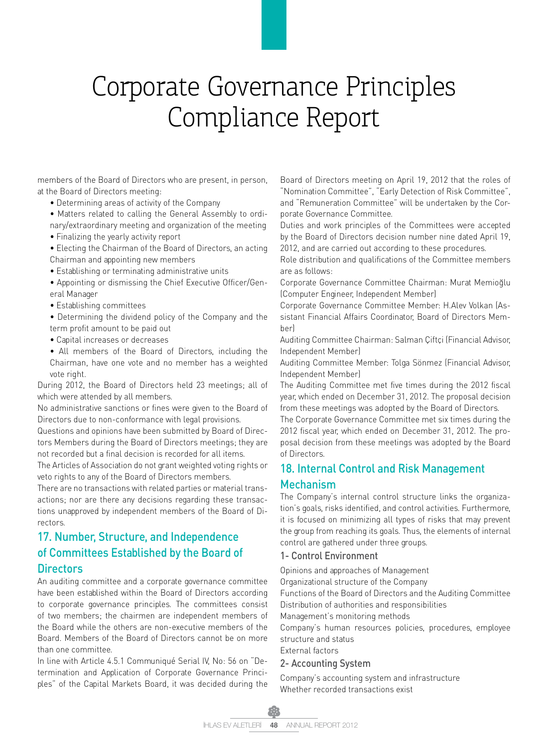members of the Board of Directors who are present, in person, at the Board of Directors meeting:

- Determining areas of activity of the Company
- Matters related to calling the General Assembly to ordinary/extraordinary meeting and organization of the meeting
- Finalizing the yearly activity report
- Electing the Chairman of the Board of Directors, an acting Chairman and appointing new members
- Establishing or terminating administrative units
- Appointing or dismissing the Chief Executive Officer/General Manager
- Establishing committees
- Determining the dividend policy of the Company and the term profit amount to be paid out
- Capital increases or decreases
- All members of the Board of Directors, including the Chairman, have one vote and no member has a weighted vote right.
- During 2012, the Board of Directors held 23 meetings; all of which were attended by all members.
- No administrative sanctions or fines were given to the Board of Directors due to non-conformance with legal provisions.
- Questions and opinions have been submitted by Board of Directors Members during the Board of Directors meetings; they are not recorded but a final decision is recorded for all items. The Articles of Association do not grant weighted voting rights or veto rights to any of the Board of Directors members.
- There are no transactions with related parties or material transactions; nor are there any decisions regarding these transactions unapproved by independent members of the Board of Directors.

## 17. Number, Structure, and Independence of Committees Established by the Board of **Directors**

An auditing committee and a corporate governance committee have been established within the Board of Directors according to corporate governance principles. The committees consist of two members; the chairmen are independent members of the Board while the others are non-executive members of the Board. Members of the Board of Directors cannot be on more than one committee.

In line with Article 4.5.1 Communiqué Serial IV, No: 56 on "Determination and Application of Corporate Governance Principles" of the Capital Markets Board, it was decided during the Board of Directors meeting on April 19, 2012 that the roles of "Nomination Committee", "Early Detection of Risk Committee", and "Remuneration Committee" will be undertaken by the Corporate Governance Committee.

Duties and work principles of the Committees were accepted by the Board of Directors decision number nine dated April 19, 2012, and are carried out according to these procedures.

Role distribution and qualifications of the Committee members are as follows:

Corporate Governance Committee Chairman: Murat Memioğlu (Computer Engineer, Independent Member)

Corporate Governance Committee Member: H.Alev Volkan (Assistant Financial Affairs Coordinator, Board of Directors Member)

Auditing Committee Chairman: Salman Çiftçi (Financial Advisor, Independent Member)

Auditing Committee Member: Tolga Sönmez (Financial Advisor, Independent Member)

The Auditing Committee met five times during the 2012 fiscal year, which ended on December 31, 2012. The proposal decision from these meetings was adopted by the Board of Directors.

The Corporate Governance Committee met six times during the 2012 fiscal year, which ended on December 31, 2012. The proposal decision from these meetings was adopted by the Board of Directors.

## 18. Internal Control and Risk Management Mechanism

The Company's internal control structure links the organization's goals, risks identified, and control activities. Furthermore, it is focused on minimizing all types of risks that may prevent the group from reaching its goals. Thus, the elements of internal control are gathered under three groups.

#### 1- Control Environment

Opinions and approaches of Management Organizational structure of the Company Functions of the Board of Directors and the Auditing Committee Distribution of authorities and responsibilities

Management's monitoring methods

Company's human resources policies, procedures, employee structure and status

External factors

#### 2- Accounting System

Company's accounting system and infrastructure Whether recorded transactions exist